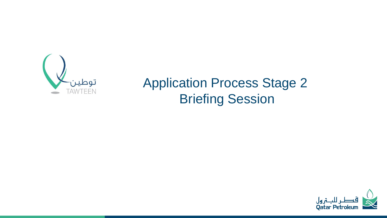

# Application Process Stage 2 Briefing Session

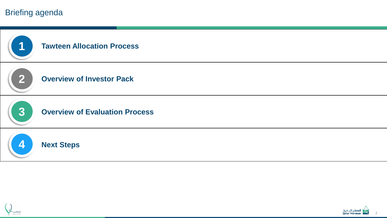### Briefing agenda





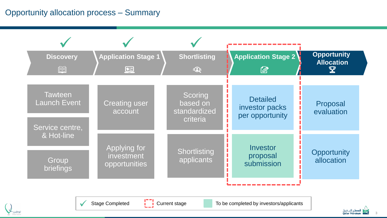## Opportunity allocation process – Summary

| <b>Discovery</b><br>囿                                    | <b>Application Stage 1</b><br>$\begin{array}{c} \boxed{\bullet} \ \mathbb{P} \end{array}$ | <b>Shortlisting</b><br>$\sum_{i=1}^{n}$         | <b>Application Stage 2</b><br>$\varnothing$          | <b>Opportunity</b><br><b>Allocation</b><br>$\boldsymbol{\mathbf{\Psi}}$ |
|----------------------------------------------------------|-------------------------------------------------------------------------------------------|-------------------------------------------------|------------------------------------------------------|-------------------------------------------------------------------------|
| <b>Tawteen</b><br><b>Launch Event</b><br>Service centre, | <b>Creating user</b><br>account                                                           | Scoring<br>based on<br>standardized<br>criteria | <b>Detailed</b><br>investor packs<br>per opportunity | Proposal<br>evaluation                                                  |
| & Hot-line<br>Group<br>briefings                         | Applying for<br>investment<br>opportunities                                               | Shortlisting<br>applicants                      | Investor<br>proposal<br>submission                   | Opportunity<br>allocation                                               |
|                                                          |                                                                                           |                                                 |                                                      |                                                                         |



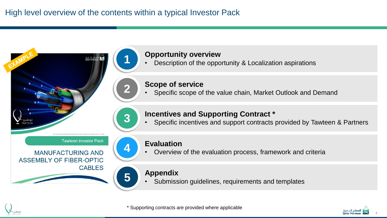**2**

**3**

**5**





#### **Scope of service**

• Specific scope of the value chain, Market Outlook and Demand

#### **Incentives and Supporting Contract \***

• Specific incentives and support contracts provided by Tawteen & Partners

**Tawteen investor Pack** 

**MANUFACTURING AND** ASSEMBLY OF FIBER-OPTIC **CABLES** 



#### **Evaluation**

• Overview of the evaluation process, framework and criteria

#### **Appendix**

• Submission guidelines, requirements and templates



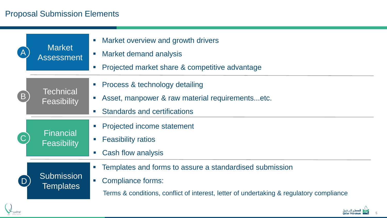# Proposal Submission Elements

توطير

|                | <b>Market</b><br><b>Assessment</b>     | Market overview and growth drivers<br>$\mathcal{L}_{\mathcal{A}}$<br>Market demand analysis<br>$\mathcal{L}_{\mathcal{A}}$<br>Projected market share & competitive advantage<br>$\mathcal{L}_{\mathcal{A}}$                                  |
|----------------|----------------------------------------|----------------------------------------------------------------------------------------------------------------------------------------------------------------------------------------------------------------------------------------------|
| (B)            | <b>Technical</b><br><b>Feasibility</b> | Process & technology detailing<br>Asset, manpower & raw material requirementsetc.<br><b>Standards and certifications</b><br><b>The</b>                                                                                                       |
|                | Financial<br>Feasibility               | <b>Projected income statement</b><br>$\mathcal{C}$<br><b>Feasibility ratios</b><br>Cash flow analysis<br>$\mathcal{L}_{\mathcal{A}}$                                                                                                         |
| $\overline{D}$ | <b>Submission</b><br><b>Templates</b>  | Templates and forms to assure a standardised submission<br>$\mathcal{L}_{\mathcal{A}}$<br><b>Compliance forms:</b><br>$\mathcal{L}_{\mathcal{A}}$<br>Terms & conditions, conflict of interest, letter of undertaking & regulatory compliance |

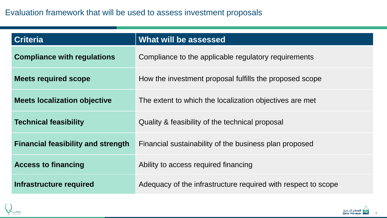| <b>Criteria</b>                           | What will be assessed                                         |
|-------------------------------------------|---------------------------------------------------------------|
| <b>Compliance with regulations</b>        | Compliance to the applicable regulatory requirements          |
| <b>Meets required scope</b>               | How the investment proposal fulfills the proposed scope       |
| <b>Meets localization objective</b>       | The extent to which the localization objectives are met       |
| <b>Technical feasibility</b>              | Quality & feasibility of the technical proposal               |
| <b>Financial feasibility and strength</b> | Financial sustainability of the business plan proposed        |
| <b>Access to financing</b>                | Ability to access required financing                          |
| Infrastructure required                   | Adequacy of the infrastructure required with respect to scope |



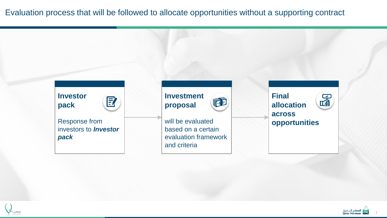Evaluation process that will be followed to allocate opportunities without a supporting contract



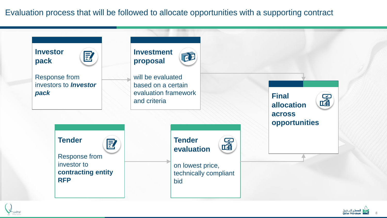Evaluation process that will be followed to allocate opportunities with a supporting contract





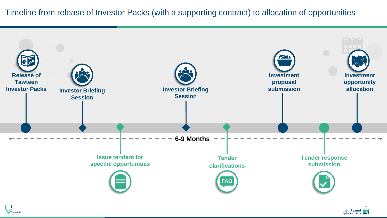

9